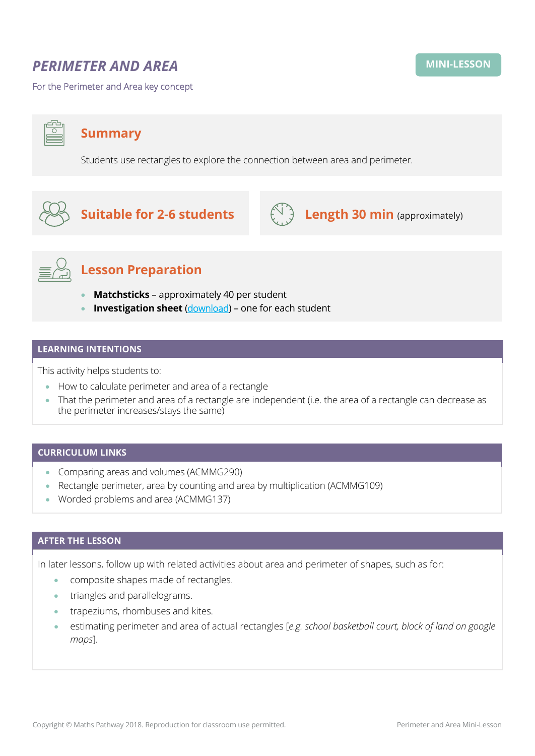# *PERIMETER AND AREA*

For the Perimeter and Area key concept

**Summary**

Students use rectangles to explore the connection between area and perimeter.



**Suitable for 2-6 students**  $\left(\begin{array}{cc} \sqrt[3]{1} \\ \sqrt[3]{2} \end{array}\right)$  **Length 30 min** (approximately)



## **Lesson Preparation**

- **Matchsticks** approximately 40 per student
- **Investigation sheet** ([download](https://mpcontent.blob.core.windows.net/mini-lesson-resources/Perimeter%20and%20Area%20-%20Investigation%20sheet.pdf)) one for each student

## **LEARNING INTENTIONS**

This activity helps students to:

- How to calculate perimeter and area of a rectangle
- That the perimeter and area of a rectangle are independent (i.e. the area of a rectangle can decrease as the perimeter increases/stays the same)

#### **CURRICULUM LINKS**

- Comparing areas and volumes (ACMMG290)
- Rectangle perimeter, area by counting and area by multiplication (ACMMG109)
- Worded problems and area (ACMMG137)

### **AFTER THE LESSON**

In later lessons, follow up with related activities about area and perimeter of shapes, such as for:

- composite shapes made of rectangles.
- triangles and parallelograms.
- trapeziums, rhombuses and kites.
- estimating perimeter and area of actual rectangles [*e.g. school basketball court, block of land on google maps*].